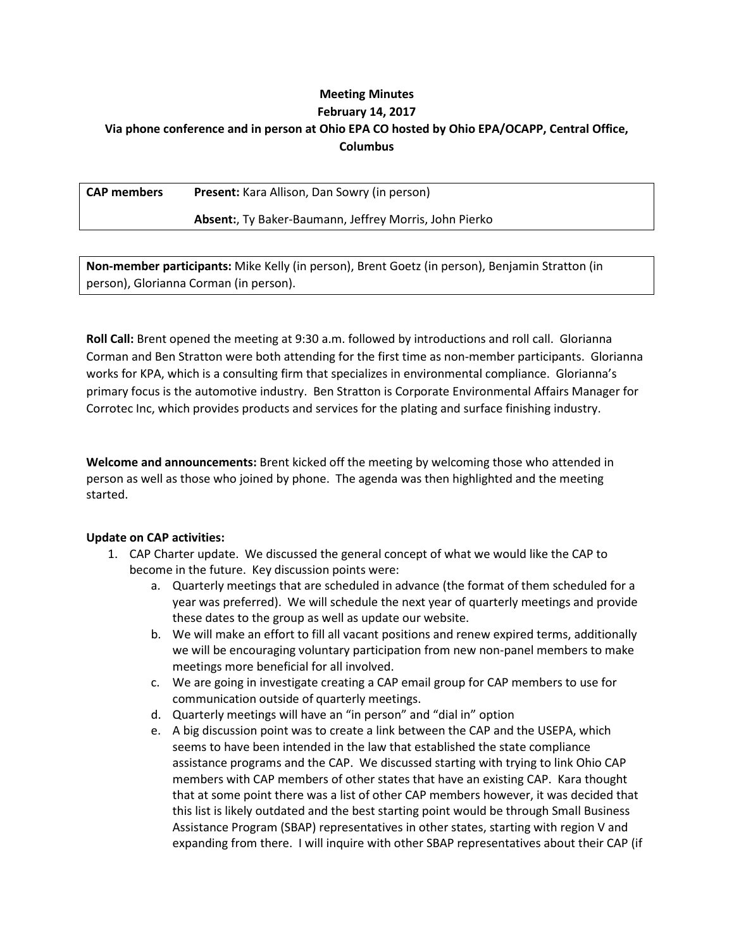# **Meeting Minutes February 14, 2017 Via phone conference and in person at Ohio EPA CO hosted by Ohio EPA/OCAPP, Central Office, Columbus**

**CAP members Present:** Kara Allison, Dan Sowry (in person)

## **Absent:**, Ty Baker-Baumann, Jeffrey Morris, John Pierko

**Non-member participants:** Mike Kelly (in person), Brent Goetz (in person), Benjamin Stratton (in person), Glorianna Corman (in person).

**Roll Call:** Brent opened the meeting at 9:30 a.m. followed by introductions and roll call. Glorianna Corman and Ben Stratton were both attending for the first time as non-member participants. Glorianna works for KPA, which is a consulting firm that specializes in environmental compliance. Glorianna's primary focus is the automotive industry. Ben Stratton is Corporate Environmental Affairs Manager for Corrotec Inc, which provides products and services for the plating and surface finishing industry.

**Welcome and announcements:** Brent kicked off the meeting by welcoming those who attended in person as well as those who joined by phone. The agenda was then highlighted and the meeting started.

## **Update on CAP activities:**

- 1. CAP Charter update. We discussed the general concept of what we would like the CAP to become in the future. Key discussion points were:
	- a. Quarterly meetings that are scheduled in advance (the format of them scheduled for a year was preferred). We will schedule the next year of quarterly meetings and provide these dates to the group as well as update our website.
	- b. We will make an effort to fill all vacant positions and renew expired terms, additionally we will be encouraging voluntary participation from new non-panel members to make meetings more beneficial for all involved.
	- c. We are going in investigate creating a CAP email group for CAP members to use for communication outside of quarterly meetings.
	- d. Quarterly meetings will have an "in person" and "dial in" option
	- e. A big discussion point was to create a link between the CAP and the USEPA, which seems to have been intended in the law that established the state compliance assistance programs and the CAP. We discussed starting with trying to link Ohio CAP members with CAP members of other states that have an existing CAP. Kara thought that at some point there was a list of other CAP members however, it was decided that this list is likely outdated and the best starting point would be through Small Business Assistance Program (SBAP) representatives in other states, starting with region V and expanding from there. I will inquire with other SBAP representatives about their CAP (if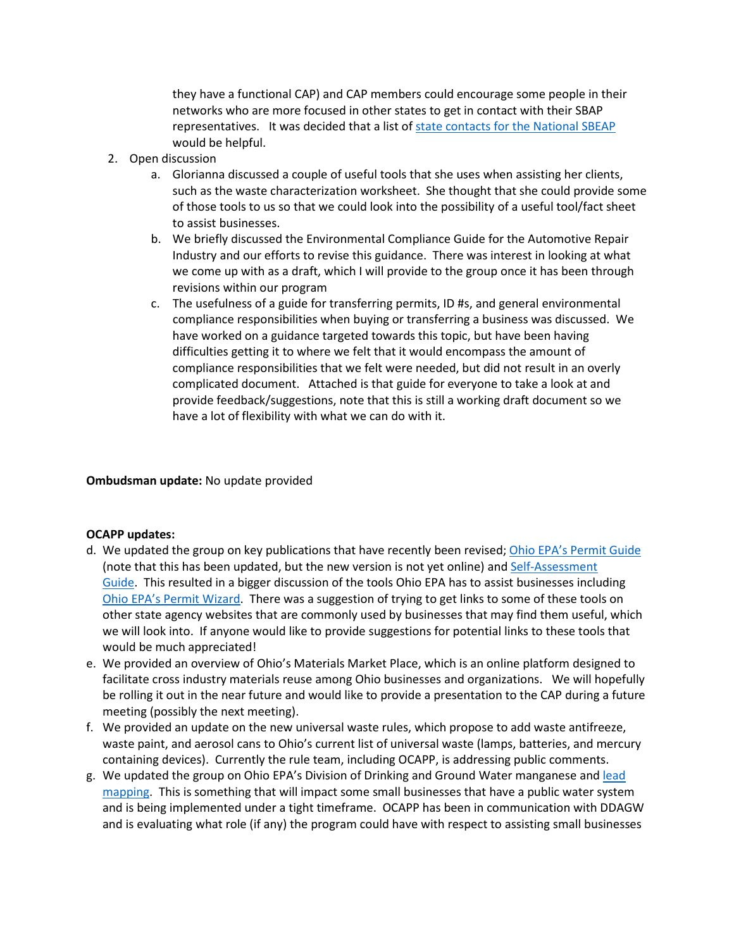they have a functional CAP) and CAP members could encourage some people in their networks who are more focused in other states to get in contact with their SBAP representatives. It was decided that a list o[f state contacts for the National SBEAP](https://nationalsbeap.org/states) would be helpful.

- 2. Open discussion
	- a. Glorianna discussed a couple of useful tools that she uses when assisting her clients, such as the waste characterization worksheet. She thought that she could provide some of those tools to us so that we could look into the possibility of a useful tool/fact sheet to assist businesses.
	- b. We briefly discussed the Environmental Compliance Guide for the Automotive Repair Industry and our efforts to revise this guidance. There was interest in looking at what we come up with as a draft, which I will provide to the group once it has been through revisions within our program
	- c. The usefulness of a guide for transferring permits, ID #s, and general environmental compliance responsibilities when buying or transferring a business was discussed. We have worked on a guidance targeted towards this topic, but have been having difficulties getting it to where we felt that it would encompass the amount of compliance responsibilities that we felt were needed, but did not result in an overly complicated document. Attached is that guide for everyone to take a look at and provide feedback/suggestions, note that this is still a working draft document so we have a lot of flexibility with what we can do with it.

#### **Ombudsman update:** No update provided

#### **OCAPP updates:**

- d. We updated the group on key publications that have recently been revised; [Ohio EPA's Permit Guide](http://www.epa.ohio.gov/Portals/41/sb/publications/permitguide.pdf) (note that this has been updated, but the new version is not yet online) and [Self-Assessment](http://www.epa.ohio.gov/portals/41/sb/publications/selfgde.pdf)  [Guide.](http://www.epa.ohio.gov/portals/41/sb/publications/selfgde.pdf) This resulted in a bigger discussion of the tools Ohio EPA has to assist businesses including [Ohio EPA's Permit Wizard.](http://ohioepa.custhelp.com/app/opa) There was a suggestion of trying to get links to some of these tools on other state agency websites that are commonly used by businesses that may find them useful, which we will look into. If anyone would like to provide suggestions for potential links to these tools that would be much appreciated!
- e. We provided an overview of Ohio's Materials Market Place, which is an online platform designed to facilitate cross industry materials reuse among Ohio businesses and organizations. We will hopefully be rolling it out in the near future and would like to provide a presentation to the CAP during a future meeting (possibly the next meeting).
- f. We provided an update on the new universal waste rules, which propose to add waste antifreeze, waste paint, and aerosol cans to Ohio's current list of universal waste (lamps, batteries, and mercury containing devices). Currently the rule team, including OCAPP, is addressing public comments.
- g. We updated the group on Ohio EPA's Division of Drinking and Ground Water manganese and lead [mapping.](http://www.epa.state.oh.us/ddagw/pws/leadandcopper.aspx) This is something that will impact some small businesses that have a public water system and is being implemented under a tight timeframe. OCAPP has been in communication with DDAGW and is evaluating what role (if any) the program could have with respect to assisting small businesses